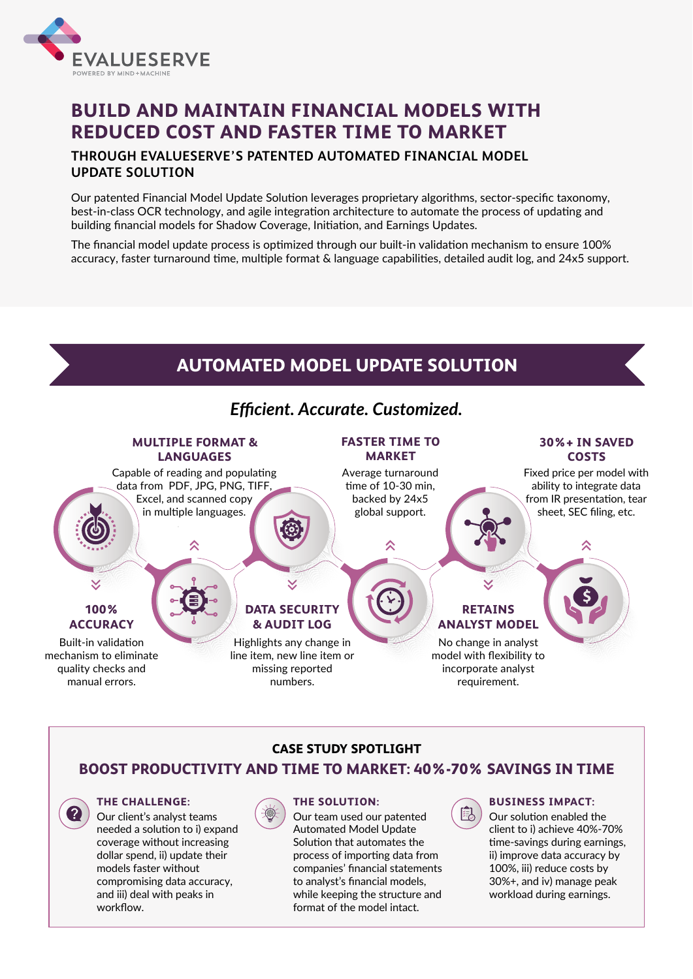

# **BUILD AND MAINTAIN FINANCIAL MODELS WITH REDUCED COST AND FASTER TIME TO MARKET**

## **THROUGH EVALUESERVE'S PATENTED AUTOMATED FINANCIAL MODEL UPDATE SOLUTION**

Our patented Financial Model Update Solution leverages proprietary algorithms, sector-specific taxonomy, best-in-class OCR technology, and agile integration architecture to automate the process of updating and building financial models for Shadow Coverage, Initiation, and Earnings Updates.

The financial model update process is optimized through our built-in validation mechanism to ensure 100% accuracy, faster turnaround time, multiple format & language capabilities, detailed audit log, and 24x5 support.

# **AUTOMATED MODEL UPDATE SOLUTION**

# *Efficient. Accurate. Customized.*

#### **CASE STUDY SPOTLIGHT**

## **BOOST PRODUCTIVITY AND TIME TO MARKET: 40%-70% SAVINGS IN TIME**



#### **BUSINESS IMPACT:**

Our solution enabled the client to i) achieve 40%-70% time-savings during earnings, ii) improve data accuracy by 100%, iii) reduce costs by 30%+, and iv) manage peak workload during earnings.

#### **THE SOLUTION:**

Our team used our patented Automated Model Update Solution that automates the process of importing data from companies' financial statements to analyst's financial models, while keeping the structure and format of the model intact.



#### **THE CHALLENGE:**

Our client's analyst teams needed a solution to i) expand coverage without increasing dollar spend, ii) update their models faster without compromising data accuracy, and iii) deal with peaks in workflow.



#### **MULTIPLE FORMAT & LANGUAGES**

#### **FASTER TIME TO MARKET**

### **RETAINS ANALYST MODEL**

#### **30%+ IN SAVED COSTS**

## **100% ACCURACY**

Built-in validation

mechanism to eliminate quality checks and manual errors.

Average turnaround time of 10-30 min, backed by 24x5 global support.

 $\lambda$ 

No change in analyst

model with flexibility to incorporate analyst requirement.

Fixed price per model with ability to integrate data from IR presentation, tear sheet, SEC filing, etc.

仌

**DATA SECURITY & AUDIT LOG**

Highlights any change in

line item, new line item or missing reported numbers.

Capable of reading and populating data from PDF, JPG, PNG, TIFF, Excel, and scanned copy in multiple languages.

X